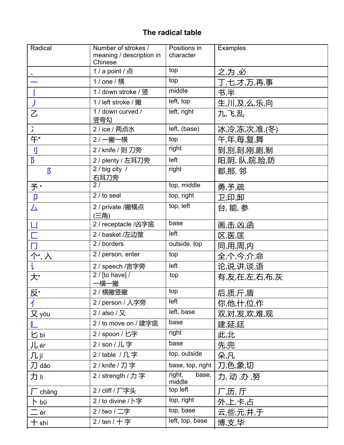## The radical table

| Radical           | Number of strokes /<br>meaning / description in | Positions in<br>character | Examples       |
|-------------------|-------------------------------------------------|---------------------------|----------------|
|                   | Chinese                                         |                           |                |
|                   | 1/a point / 点                                   | top                       | 之,为,必          |
|                   | 1 / one / 横                                     | top                       | 丁,七,才,万,再,事    |
|                   | 1 / down stroke / 竖                             | middle                    | 书,半            |
|                   | 1 / left stroke / 撇                             | left, top                 | 生,川,及,么,乐,向    |
| $\overline{Z}$    | 1 / down curved /<br>竖弯勾                        | left, right               | 九,飞,乱          |
| $\lambda$         | 2 / ice / 两点水                                   | left, (base)              | 冰,冷,冻,次,准,(冬)  |
| 午*                | 2 / 一撇一横                                        | top                       | 午,年,每,复,舞      |
| IJ                | 2 / knife / 则 刀旁                                | right                     | 到,別,刻,刚,剧,制    |
| $\overline{5}$    | 2 / plenty / 左耳刀旁                               | left                      | 阳,阴, 队,院,险,防   |
| $\overline{B}$    | 2 / big city /<br>右耳刀旁                          | right                     | 都,那, 邻         |
| 予*                | $\overline{27}$                                 | top, middle               | 勇,予,疏          |
| p                 | 2 / to seal                                     | top, right                | 卫,印,卸          |
| 厶                 | 2 / private /撇橫点<br>(三角)                        | top, left                 | 台, 能, 参        |
|                   | 2 / receptacle /凶字底                             | base                      | 画,击,凶,函        |
|                   | 2 / basket /左边筐                                 | left                      | 区,医,匡          |
| $\Box$            | 2 / borders                                     | outside, top              | 同,用,周,内        |
| 个*,入              | 2 / person, enter                               | top                       | 全,个,今,介,命      |
| $\mathbf{i}$      | 2 / speech /言字旁                                 | left                      | 论,说,讲,谈,语      |
| 大*                | $2$ / [to have] /<br>−橫一撇                       | top                       | 有,友,在,左,右,布,灰  |
| 反*                | 2 / 横撇竖撇                                        | top                       | <u>后,质,斤,盾</u> |
|                   | 2 / person / 人字旁                                | left                      | 你,他,什,位,作      |
| 又 yòu             | 2 / also / Q                                    | left, base                | 双,对,发,欢,难,观    |
| 廴                 | 2 / to move on / 建字底                            | base                      | 建,延,廷          |
| 匕吖                | 2 / spoon / 匕字                                  | right                     | 此,北            |
| Jl, ér            | 2/son/儿字                                        | base                      | 先,兜            |
| Лјĭ               | 2/table /几字                                     | top, outside              | 朵,凡            |
| 刀 dāo             | 2 / knife / 刀字                                  | base, top, right          | 刀,色,象,切        |
| 力lì               | 2 / strength / 力字                               | right,<br>base,<br>middle | 力,动,办,努        |
| $\sqrt{\ }$ chăng | 2 / cliff / 厂字头                                 | top left                  | 厂,历,厅          |
| ト bŭ              | 2 / to divine / 卜字                              | top, right                | 外,上,卡,占        |
| $\equiv$ èr       | 2 / two / 二字                                    | top, base                 | 云,些,元,井,于      |
| $\dashv$ shí      | 2/ten/十字                                        | left, top, base           | 博,支,华          |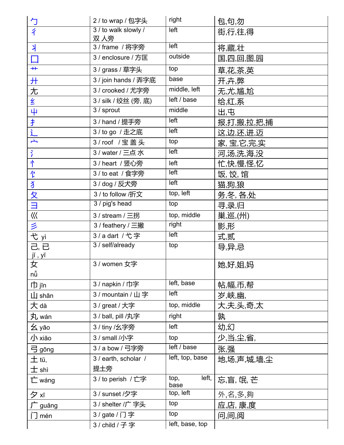| 勹                                               | 2 / to wrap / 包字头    | right                 | 包,句,勿       |
|-------------------------------------------------|----------------------|-----------------------|-------------|
| $\overline{\mathcal{X}}$                        | 3 / to walk slowly / | left                  | 街,行,往,得     |
|                                                 | 双 人旁                 | left                  |             |
| 丬                                               | 3 / frame / 将字旁      |                       | 将,藏,壮       |
| $\Box$                                          | 3 / enclosure / 方匡   | outside               | 国,四,回,图,园   |
| $+$                                             | 3 / grass / 草字头      | top                   | 草,花,茶,英     |
| 廾                                               | 3 / join hands / 弄字底 | base                  | 开,卉,弊       |
| 尢                                               | 3 / crooked / 尤字旁    | middle, left          | 无,尤,尴,尬     |
| 纟                                               | 3 / silk / 绞丝 (旁, 底) | left / base           | 给,红,系       |
| 4                                               | 3 / sprout           | middle                | 出,屯         |
| $\overline{\mathbf{t}}$                         | 3 / hand / 提手旁       | left                  | 报,打,搬,拉,把,捕 |
| $\frac{1}{2}$                                   | 3 / to go / 走之底      | left                  | 这,边,还,进,迈   |
| $\overline{\phantom{a}}$                        | 3 / roof / 宝盖头       | top                   | 家, 宝,它,完,实  |
| $\ddot{i}$                                      | 3 / water / 三点 水     | left                  | 河,汤,洗,海,没   |
| 忄                                               | 3 / heart / 竖心旁      | left                  | 忙,快,慢,怪,忆   |
| 亇                                               | 3 / to eat / 食字旁     | left                  | 饭, 饺, 馆     |
| 犭                                               | 3 / dog / 反犬旁        | left                  | 猫,狗,狼       |
| <u>久</u>                                        | 3 / to follow /折文    | top, left             | 务,冬, 各,处    |
| $\equiv$                                        | 3 / pig's head       | top                   | 寻,录,归       |
| $\overline{\Bbb{W}}$                            | 3 / stream / 三拐      | top, middle           | 巢,巡,(州)     |
| 彡                                               | 3 / feathery / 三撇    | right                 | 影形          |
| 弋 yì                                            | 3/a dart / 弋字        | left                  | 式,贰         |
| 己,已                                             | 3 / self/already     | top                   | 导,异,忌       |
| $\frac{\tilde{j}$ i, yǐ                         |                      |                       |             |
|                                                 | 3 / women 女字         |                       | 她,好,姐,妈     |
| nů                                              |                      |                       |             |
| 巾 jīn                                           | 3 / napkin / 巾字      | left, base            | 帖,幅,币,帮     |
| $\mathop{\hbox{\rlap{$\sqcup$}}}\nolimits$ shān | 3 / mountain / 山字    | left                  | 岁,峡,幽,      |
| 大 dà                                            | 3 / great / 大字       | top, middle           | 大,夫,头,奇,太   |
| 丸 wán                                           | 3 / ball, pill /丸字   | right                 | 孰           |
| 幺 yāo                                           | 3 / tiny /幺字旁        | left                  | 幼,幻         |
| 小 xiǎo                                          | 3 / small /小字        | top                   | 少,当,尘,省,    |
| 弓 gōng                                          | 3 / a bow / 弓字旁      | left / base           | 张,强         |
| $\pm$ tŭ,                                       | 3 / earth, scholar / | left, top, base       | 地,场,声,城,墙,尘 |
| $\pm$ shì                                       | 提土旁                  |                       |             |
| 亡 wáng                                          | 3 / to perish / 亡字   | left,<br>top,<br>base | 忘,盲, 氓, 芒   |
| 夕灯                                              | 3 / sunset /夕字       | top, left             | 外,名,多,夠     |
| <b>⊤</b> guăng                                  | 3 / shelter /广字头     | top                   | 应,店, 康,度    |
| ∣`] mén                                         | 3/gate/门字            | top                   | 问,间,阅       |
|                                                 | 3/child/子字           | left, base, top       |             |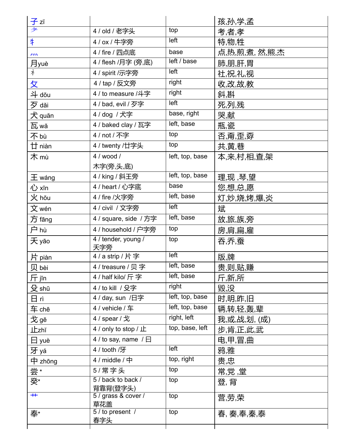| 子zĭ              |                                |                 | 孩,孙,学,孟        |
|------------------|--------------------------------|-----------------|----------------|
| 耂                | 4 / old / 老字头                  | top             | 考,者,孝          |
| #                | 4 / ox / 牛字旁                   | left            | 特,物,牲          |
| $\sum_{i=1}^{n}$ | 4 / fire / 四点底                 | base            | 点,热,煎,煮, 然,熊,杰 |
| 月yuè             | 4 / flesh /月字 (旁,底)            | left / base     | 肺,朋,肝,胃        |
| 礻                | 4 / spirit /示字旁                | left            | 社,祝,礼,视        |
| 攵                | 4 / tap / 反文旁                  | right           | 收,改,故,教        |
| 斗 dŏu            | 4 / to measure /斗字             | right           | 斜斟             |
| 歹 dăi            | 4 / bad, evil / 歹字             | left            | 死,列,残          |
| 犬 quăn           | 4 / dog / 犬字                   | base, right     | 哭,献            |
| 瓦 wă             | 4 / baked clay / 瓦字            | left, base      | 瓶,瓷            |
| 不bù              | 4 / not / 不字                   | top             | 否,甭,歪,孬        |
| 廿 niàn           | 4 / twenty /廿字头                | top             | 共,黄,巷          |
| 木 mù             | $4 /$ wood $/$                 | left, top, base | 本,来,村,相,查,架    |
|                  | 木字(旁,头,底)                      |                 |                |
| $\pm$ wáng       | 4 / king / 斜王旁                 | left, top, base | 理,现,琴,望        |
| 心 xīn            | 4 / heart / 心字底                | base            | 您,想,总,愿        |
| 火 hŏu            | 4 / fire /火字旁                  | left, base      | 灯,炒,烧,烤,爆,炎    |
| 文 wén            | 4 / civil / 文字旁                | left            | 斌              |
| 方 fāng           | 4 / square, side / 方字          | left, base      | 放,旅,族,旁        |
| 户 hù             | 4 / household / 户字旁            | top             | 房,肩,扁,雇        |
| 天 yāo            | 4 / tender, young /<br>夭字旁     | top             | 吞,乔,蚕          |
| 片 piàn           | 4 / a strip / 片字               | left            | 版,牌            |
| 贝 bèi            | 4 / treasure / 贝字              | left, base      | 贵,则,贴,赚        |
| 斤 jīn            | 4 / half kilo/ 斤字              | left, base      | 斤,新,所          |
| 殳 shū            | 4 / to kill / 殳字               | right           | 毀沒             |
| 日 rì             | 4 / day, sun /日字               | left, top, base | 时,明,昨,旧        |
| 车 chē            | 4 / vehicle / 车                | left, top, base | 辆,转,轻,轰,辈      |
| 戈 gē             | 4 / spear / 戈                  | right, left     | 我,或,战,划, (成)   |
| 止zhĭ             | 4 / only to stop / 止           | top, base, left | 步,肯,正,此,武      |
| $\boxminus$ yuè  | 4 / to say, name $/ \Box$      |                 | 电,甲,冒,曲        |
| 牙 yá             | 4 / tooth /牙                   | left            | 鸦,雅            |
| 中 zhōng          | 4 / middle / 中                 | top, right      | 贵,忠            |
| 尝*               | 5/常字头                          | top             | 常,党 ,堂         |
| 癸*               | 5 / back to back /<br>背靠背(登字头) | top             | 登,背            |
| $\overline{+}$   | 5 / grass & cover /<br>草花盖     | top             | 营,劳,荣          |
| 奉*               | 5 / to present /<br>春字头        | top             | 春, 奏,奉,秦,泰     |
|                  |                                |                 |                |